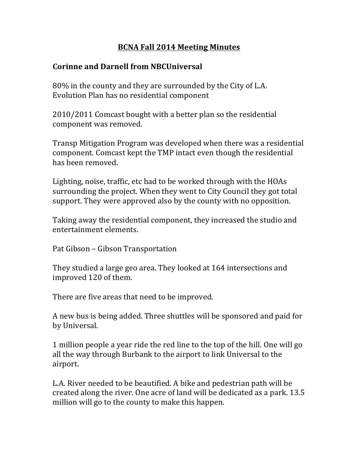## **BCNA Fall 2014 Meeting Minutes**

## **Corinne and Darnell from NBCUniversal**

80% in the county and they are surrounded by the City of L.A. Evolution Plan has no residential component

2010/2011 Comcast bought with a better plan so the residential component was removed.

Transp Mitigation Program was developed when there was a residential component. Comcast kept the TMP intact even though the residential has been removed.

Lighting, noise, traffic, etc had to be worked through with the HOAs surrounding the project. When they went to City Council they got total support. They were approved also by the county with no opposition.

Taking away the residential component, they increased the studio and entertainment elements.

Pat Gibson – Gibson Transportation

They studied a large geo area. They looked at 164 intersections and improved 120 of them.

There are five areas that need to be improved.

A new bus is being added. Three shuttles will be sponsored and paid for by Universal.

1 million people a year ride the red line to the top of the hill. One will go all the way through Burbank to the airport to link Universal to the airport. 

L.A. River needed to be beautified. A bike and pedestrian path will be created along the river. One acre of land will be dedicated as a park. 13.5 million will go to the county to make this happen.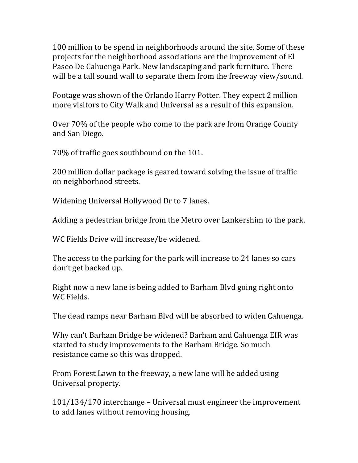100 million to be spend in neighborhoods around the site. Some of these projects for the neighborhood associations are the improvement of El Paseo De Cahuenga Park. New landscaping and park furniture. There will be a tall sound wall to separate them from the freeway view/sound.

Footage was shown of the Orlando Harry Potter. They expect 2 million more visitors to City Walk and Universal as a result of this expansion.

Over 70% of the people who come to the park are from Orange County and San Diego.

70% of traffic goes southbound on the 101.

200 million dollar package is geared toward solving the issue of traffic on neighborhood streets.

Widening Universal Hollywood Dr to 7 lanes.

Adding a pedestrian bridge from the Metro over Lankershim to the park.

WC Fields Drive will increase/be widened.

The access to the parking for the park will increase to 24 lanes so cars don't get backed up.

Right now a new lane is being added to Barham Blyd going right onto WC Fields.

The dead ramps near Barham Blvd will be absorbed to widen Cahuenga.

Why can't Barham Bridge be widened? Barham and Cahuenga EIR was started to study improvements to the Barham Bridge. So much resistance came so this was dropped.

From Forest Lawn to the freeway, a new lane will be added using Universal property.

 $101/134/170$  interchange – Universal must engineer the improvement to add lanes without removing housing.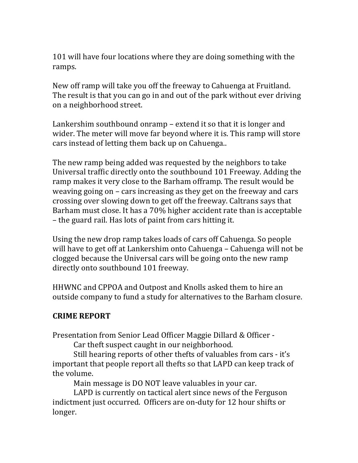101 will have four locations where they are doing something with the ramps. 

New off ramp will take you off the freeway to Cahuenga at Fruitland. The result is that you can go in and out of the park without ever driving on a neighborhood street.

Lankershim southbound onramp – extend it so that it is longer and wider. The meter will move far beyond where it is. This ramp will store cars instead of letting them back up on Cahuenga..

The new ramp being added was requested by the neighbors to take Universal traffic directly onto the southbound 101 Freeway. Adding the ramp makes it very close to the Barham offramp. The result would be weaving going on  $-$  cars increasing as they get on the freeway and cars crossing over slowing down to get off the freeway. Caltrans says that Barham must close. It has a 70% higher accident rate than is acceptable – the guard rail. Has lots of paint from cars hitting it.

Using the new drop ramp takes loads of cars off Cahuenga. So people will have to get off at Lankershim onto Cahuenga – Cahuenga will not be clogged because the Universal cars will be going onto the new ramp directly onto southbound 101 freeway.

HHWNC and CPPOA and Outpost and Knolls asked them to hire an outside company to fund a study for alternatives to the Barham closure.

## **CRIME REPORT**

Presentation from Senior Lead Officer Maggie Dillard & Officer -

Car theft suspect caught in our neighborhood.

Still hearing reports of other thefts of valuables from cars - it's important that people report all thefts so that LAPD can keep track of the volume.

Main message is DO NOT leave valuables in your car.

LAPD is currently on tactical alert since news of the Ferguson indictment just occurred. Officers are on-duty for 12 hour shifts or longer.